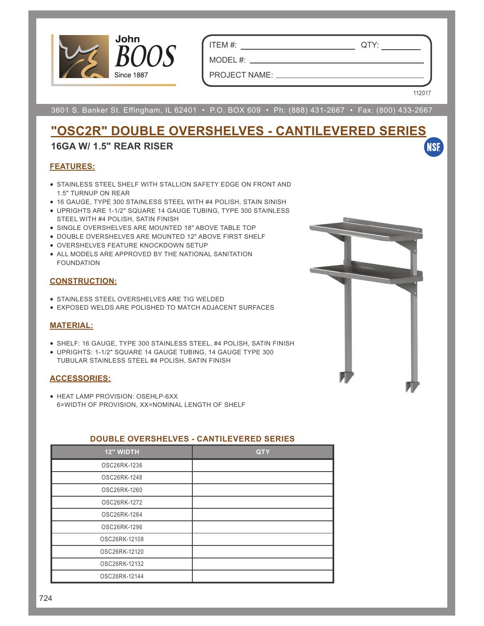

ITEM #: QTY:

MODEL #: PROJECT NAME:

3601 S. Banker St. Effingham, IL 62401 • P.O. BOX 609 • Ph: (888) 431-2667 • Fax: (800) 433-2667

112017

**NSF** 

# **"OSC2R" DOUBLE OVERSHELVES - CANTILEVERED SERIES**

## **16GA W/ 1.5" REAR RISER**

### **FEATURES:**

- STAINLESS STEEL SHELF WITH STALLION SAFETY EDGE ON FRONT AND 1.5" TURNUP ON REAR
- 16 GAUGE, TYPE 300 STAINLESS STEEL WITH #4 POLISH, STAIN SINISH
- UPRIGHTS ARE 1-1/2" SQUARE 14 GAUGE TUBING, TYPE 300 STAINLESS STEEL WITH #4 POLISH, SATIN FINISH
- SINGLE OVERSHELVES ARE MOUNTED 18" ABOVE TABLE TOP
- DOUBLE OVERSHELVES ARE MOUNTED 12" ABOVE FIRST SHELF
- OVERSHELVES FEATURE KNOCKDOWN SETUP
- ALL MODELS ARE APPROVED BY THE NATIONAL SANITATION FOUNDATION

### **CONSTRUCTION:**

- STAINLESS STEEL OVERSHELVES ARE TIG WELDED
- EXPOSED WELDS ARE POLISHED TO MATCH ADJACENT SURFACES

## **MATERIAL:**

- SHELF: 16 GAUGE, TYPE 300 STAINLESS STEEL, #4 POLISH, SATIN FINISH
- UPRIGHTS: 1-1/2" SQUARE 14 GAUGE TUBING, 14 GAUGE TYPE 300 TUBULAR STAINLESS STEEL #4 POLISH, SATIN FINISH

### **ACCESSORIES:**

• HEAT LAMP PROVISION: OSEHLP-6XX 6=WIDTH OF PROVISION, XX=NOMINAL LENGTH OF SHELF

| -------------    | ,,,,,,,,,,,,,,,,,,,,,,, |
|------------------|-------------------------|
| <b>12" WIDTH</b> | <b>QTY</b>              |
| OSC26RK-1236     |                         |
| OSC26RK-1248     |                         |
| OSC26RK-1260     |                         |
| OSC26RK-1272     |                         |
| OSC26RK-1284     |                         |
| OSC26RK-1296     |                         |
| OSC26RK-12108    |                         |
| OSC26RK-12120    |                         |
| OSC26RK-12132    |                         |
| OSC26RK-12144    |                         |

## **DOUBLE OVERSHELVES - CANTILEVERED SERIES**